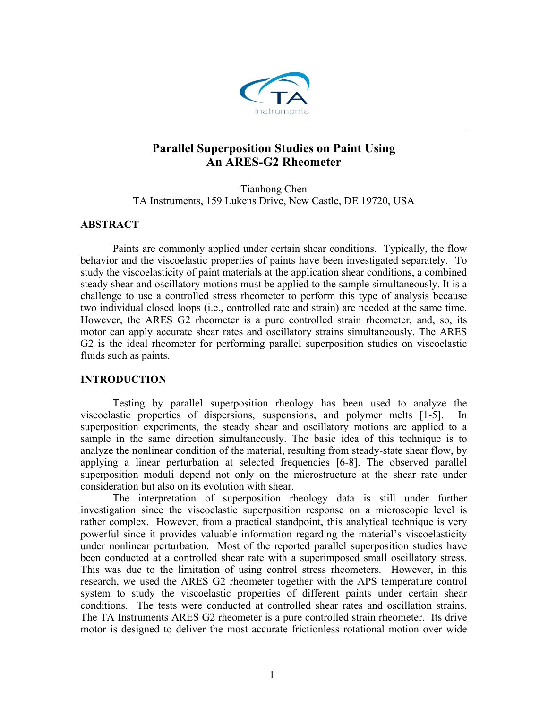

# **Parallel Superposition Studies on Paint Using An ARES-G2 Rheometer**

Tianhong Chen TA Instruments, 159 Lukens Drive, New Castle, DE 19720, USA

## **ABSTRACT**

Paints are commonly applied under certain shear conditions. Typically, the flow behavior and the viscoelastic properties of paints have been investigated separately. To study the viscoelasticity of paint materials at the application shear conditions, a combined steady shear and oscillatory motions must be applied to the sample simultaneously. It is a challenge to use a controlled stress rheometer to perform this type of analysis because two individual closed loops (i.e., controlled rate and strain) are needed at the same time. However, the ARES G2 rheometer is a pure controlled strain rheometer, and, so, its motor can apply accurate shear rates and oscillatory strains simultaneously. The ARES G2 is the ideal rheometer for performing parallel superposition studies on viscoelastic fluids such as paints.

## **INTRODUCTION**

Testing by parallel superposition rheology has been used to analyze the viscoelastic properties of dispersions, suspensions, and polymer melts [1-5]. In superposition experiments, the steady shear and oscillatory motions are applied to a sample in the same direction simultaneously. The basic idea of this technique is to analyze the nonlinear condition of the material, resulting from steady-state shear flow, by applying a linear perturbation at selected frequencies [6-8]. The observed parallel superposition moduli depend not only on the microstructure at the shear rate under consideration but also on its evolution with shear.

The interpretation of superposition rheology data is still under further investigation since the viscoelastic superposition response on a microscopic level is rather complex. However, from a practical standpoint, this analytical technique is very powerful since it provides valuable information regarding the material's viscoelasticity under nonlinear perturbation. Most of the reported parallel superposition studies have been conducted at a controlled shear rate with a superimposed small oscillatory stress. This was due to the limitation of using control stress rheometers. However, in this research, we used the ARES G2 rheometer together with the APS temperature control system to study the viscoelastic properties of different paints under certain shear conditions. The tests were conducted at controlled shear rates and oscillation strains. The TA Instruments ARES G2 rheometer is a pure controlled strain rheometer. Its drive motor is designed to deliver the most accurate frictionless rotational motion over wide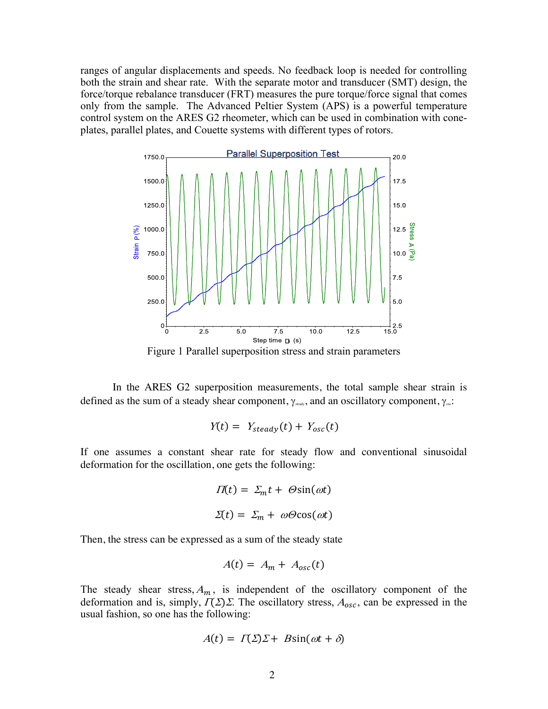ranges of angular displacements and speeds. No feedback loop is needed for controlling both the strain and shear rate. With the separate motor and transducer (SMT) design, the force/torque rebalance transducer (FRT) measures the pure torque/force signal that comes only from the sample. The Advanced Peltier System (APS) is a powerful temperature control system on the ARES G2 rheometer, which can be used in combination with coneplates, parallel plates, and Couette systems with different types of rotors.



Figure 1 Parallel superposition stress and strain parameters

In the ARES G2 superposition measurements, the total sample shear strain is defined as the sum of a steady shear component,  $\gamma_{\text{\tiny{seals}}},$  and an oscillatory component,  $\gamma_{\text{\tiny{se}}}$ :

$$
Y(t) = Y_{steady}(t) + Y_{osc}(t)
$$

If one assumes a constant shear rate for steady flow and conventional sinusoidal deformation for the oscillation, one gets the following:

$$
\Pi(t) = \Sigma_m t + \Theta \sin(\omega t)
$$

$$
\Sigma(t) = \Sigma_m + \omega \Theta \cos(\omega t)
$$

Then, the stress can be expressed as a sum of the steady state

$$
A(t) = A_m + A_{osc}(t)
$$

The steady shear stress,  $A_m$ , is independent of the oscillatory component of the deformation and is, simply,  $\Gamma(\Sigma)\Sigma$ . The oscillatory stress,  $A_{osc}$ , can be expressed in the usual fashion, so one has the following:

$$
A(t) = \Gamma(\Sigma)\Sigma + B\sin(\omega t + \delta)
$$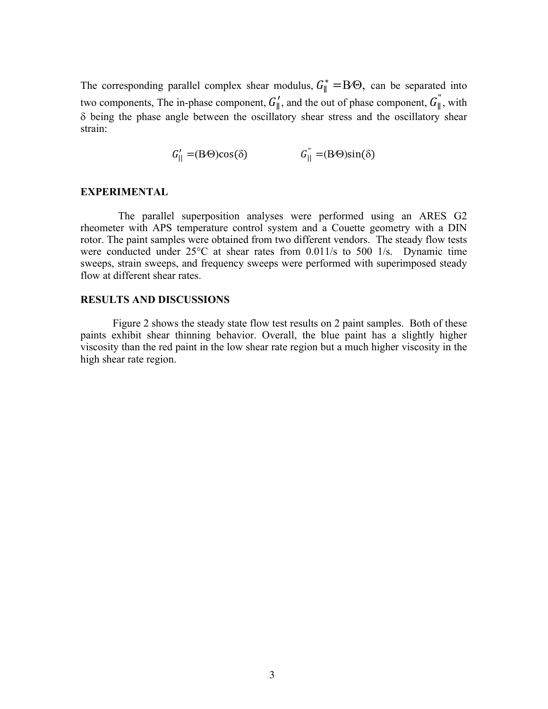The corresponding parallel complex shear modulus,  $G_{\parallel}^* = B \Theta$ , can be separated into two components, The in-phase component,  $G_{\parallel}^{\prime}$ , and the out of phase component,  $G_{\parallel}^{''}$ , with  $\delta$  being the phase angle between the oscillatory shear stress and the oscillatory shear strain:

 $G_{\parallel}' = (B \Theta) \cos(\delta)$   $G_{\parallel} = (B \Theta) \sin(\delta)$ 

### **EXPERIMENTAL**

 The parallel superposition analyses were performed using an ARES G2 rheometer with APS temperature control system and a Couette geometry with a DIN rotor. The paint samples were obtained from two different vendors. The steady flow tests were conducted under 25°C at shear rates from 0.011/s to 500 1/s. Dynamic time sweeps, strain sweeps, and frequency sweeps were performed with superimposed steady flow at different shear rates.

#### **RESULTS AND DISCUSSIONS**

Figure 2 shows the steady state flow test results on 2 paint samples. Both of these paints exhibit shear thinning behavior. Overall, the blue paint has a slightly higher viscosity than the red paint in the low shear rate region but a much higher viscosity in the high shear rate region.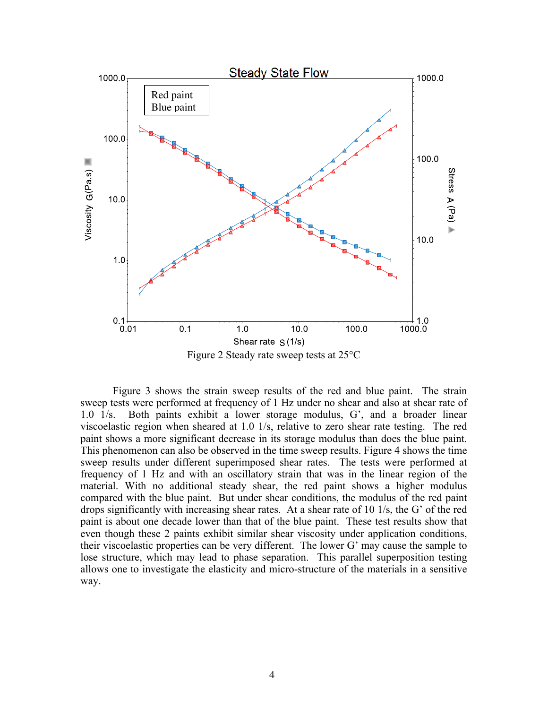

Figure 3 shows the strain sweep results of the red and blue paint. The strain sweep tests were performed at frequency of 1 Hz under no shear and also at shear rate of 1.0 1/s. Both paints exhibit a lower storage modulus, G', and a broader linear viscoelastic region when sheared at 1.0 1/s, relative to zero shear rate testing. The red paint shows a more significant decrease in its storage modulus than does the blue paint. This phenomenon can also be observed in the time sweep results. Figure 4 shows the time sweep results under different superimposed shear rates. The tests were performed at frequency of 1 Hz and with an oscillatory strain that was in the linear region of the material. With no additional steady shear, the red paint shows a higher modulus compared with the blue paint. But under shear conditions, the modulus of the red paint drops significantly with increasing shear rates. At a shear rate of 10 1/s, the G' of the red paint is about one decade lower than that of the blue paint. These test results show that even though these 2 paints exhibit similar shear viscosity under application conditions, their viscoelastic properties can be very different. The lower G' may cause the sample to lose structure, which may lead to phase separation. This parallel superposition testing allows one to investigate the elasticity and micro-structure of the materials in a sensitive way.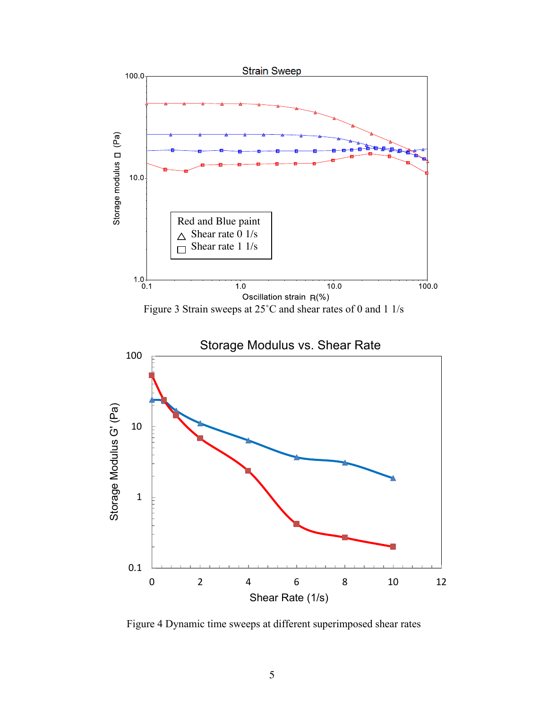

Figure 4 Dynamic time sweeps at different superimposed shear rates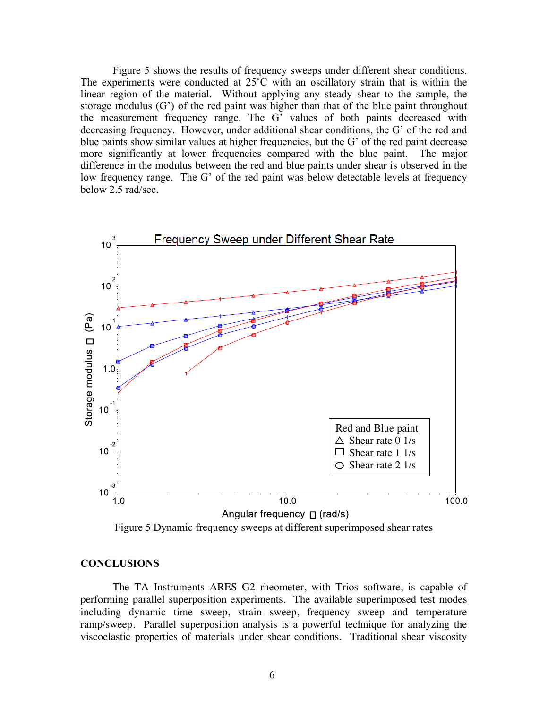Figure 5 shows the results of frequency sweeps under different shear conditions. The experiments were conducted at 25<sup>°</sup>C with an oscillatory strain that is within the linear region of the material. Without applying any steady shear to the sample, the storage modulus (G') of the red paint was higher than that of the blue paint throughout the measurement frequency range. The G' values of both paints decreased with decreasing frequency. However, under additional shear conditions, the G' of the red and blue paints show similar values at higher frequencies, but the G' of the red paint decrease more significantly at lower frequencies compared with the blue paint. The major difference in the modulus between the red and blue paints under shear is observed in the low frequency range. The G' of the red paint was below detectable levels at frequency below 2.5 rad/sec.



Figure 5 Dynamic frequency sweeps at different superimposed shear rates

## **CONCLUSIONS**

The TA Instruments ARES G2 rheometer, with Trios software, is capable of performing parallel superposition experiments. The available superimposed test modes including dynamic time sweep, strain sweep, frequency sweep and temperature ramp/sweep. Parallel superposition analysis is a powerful technique for analyzing the viscoelastic properties of materials under shear conditions. Traditional shear viscosity